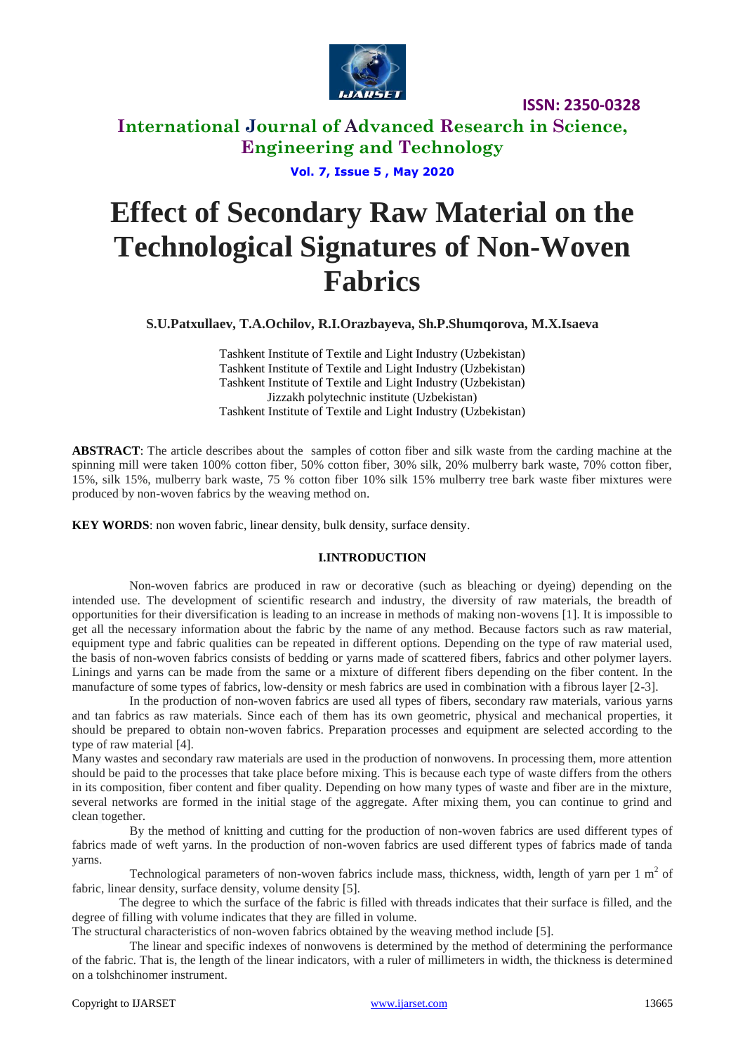

**ISSN: 2350-0328**

# **International Journal of Advanced Research in Science, Engineering and Technology**

**Vol. 7, Issue 5 , May 2020**

# **Effect of Secondary Raw Material on the Technological Signatures of Non-Woven Fabrics**

**S.U.Patxullaev, T.A.Ochilov, R.I.Orazbayeva, Sh.P.Shumqorova, M.X.Isaeva**

Tashkent Institute of Textile and Light Industry (Uzbekistan) Tashkent Institute of Textile and Light Industry (Uzbekistan) Tashkent Institute of Textile and Light Industry (Uzbekistan) Jizzakh polytechnic institute (Uzbekistan) Tashkent Institute of Textile and Light Industry (Uzbekistan)

**ABSTRACT**: The article describes about the samples of cotton fiber and silk waste from the carding machine at the spinning mill were taken 100% cotton fiber, 50% cotton fiber, 30% silk, 20% mulberry bark waste, 70% cotton fiber, 15%, silk 15%, mulberry bark waste, 75 % cotton fiber 10% silk 15% mulberry tree bark waste fiber mixtures were produced by non-woven fabrics by the weaving method on.

**KEY WORDS**: non woven fabric, linear density, bulk density, surface density.

### **I.INTRODUCTION**

Non-woven fabrics are produced in raw or decorative (such as bleaching or dyeing) depending on the intended use. The development of scientific research and industry, the diversity of raw materials, the breadth of opportunities for their diversification is leading to an increase in methods of making non-wovens [1]. It is impossible to get all the necessary information about the fabric by the name of any method. Because factors such as raw material, equipment type and fabric qualities can be repeated in different options. Depending on the type of raw material used, the basis of non-woven fabrics consists of bedding or yarns made of scattered fibers, fabrics and other polymer layers. Linings and yarns can be made from the same or a mixture of different fibers depending on the fiber content. In the manufacture of some types of fabrics, low-density or mesh fabrics are used in combination with a fibrous layer [2-3].

In the production of non-woven fabrics are used all types of fibers, secondary raw materials, various yarns and tan fabrics as raw materials. Since each of them has its own geometric, physical and mechanical properties, it should be prepared to obtain non-woven fabrics. Preparation processes and equipment are selected according to the type of raw material [4].

Many wastes and secondary raw materials are used in the production of nonwovens. In processing them, more attention should be paid to the processes that take place before mixing. This is because each type of waste differs from the others in its composition, fiber content and fiber quality. Depending on how many types of waste and fiber are in the mixture, several networks are formed in the initial stage of the aggregate. After mixing them, you can continue to grind and clean together.

By the method of knitting and cutting for the production of non-woven fabrics are used different types of fabrics made of weft yarns. In the production of non-woven fabrics are used different types of fabrics made of tanda yarns.

Technological parameters of non-woven fabrics include mass, thickness, width, length of yarn per  $1 \text{ m}^2$  of fabric, linear density, surface density, volume density [5].

The degree to which the surface of the fabric is filled with threads indicates that their surface is filled, and the degree of filling with volume indicates that they are filled in volume.

The structural characteristics of non-woven fabrics obtained by the weaving method include [5].

The linear and specific indexes of nonwovens is determined by the method of determining the performance of the fabric. That is, the length of the linear indicators, with a ruler of millimeters in width, the thickness is determined on a tolshchinomer instrument.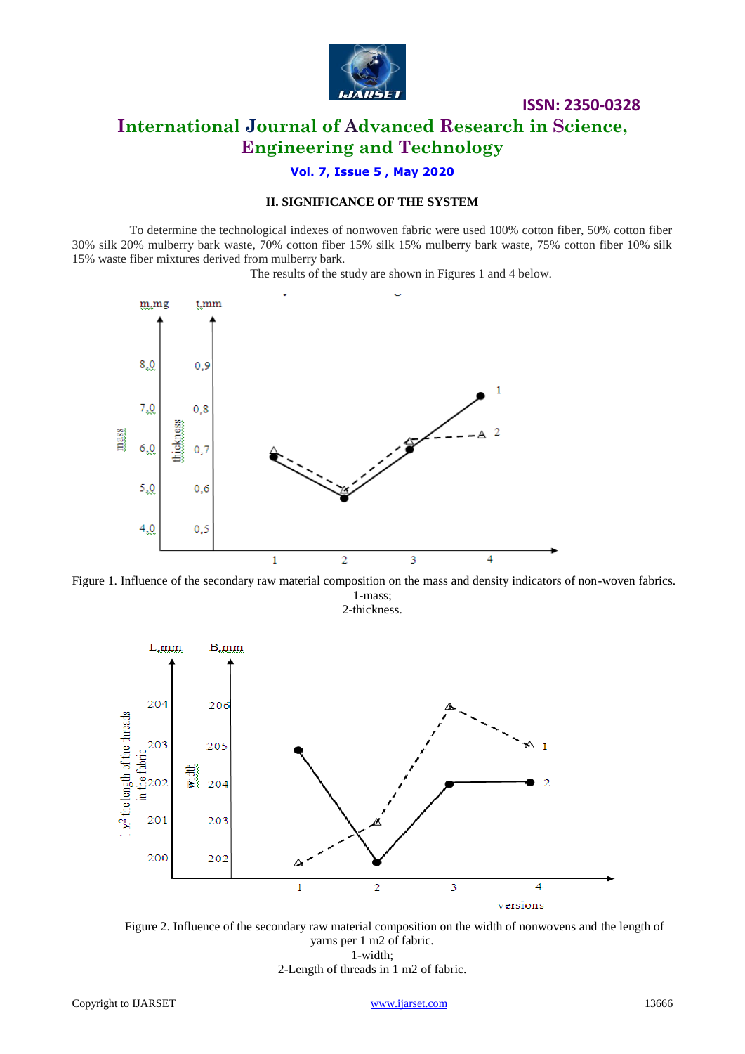

## **ISSN: 2350-0328 International Journal of Advanced Research in Science, Engineering and Technology**

### **Vol. 7, Issue 5 , May 2020**

### **II. SIGNIFICANCE OF THE SYSTEM**

To determine the technological indexes of nonwoven fabric were used 100% cotton fiber, 50% cotton fiber 30% silk 20% mulberry bark waste, 70% cotton fiber 15% silk 15% mulberry bark waste, 75% cotton fiber 10% silk 15% waste fiber mixtures derived from mulberry bark.

The results of the study are shown in Figures 1 and 4 below.



Figure 1. Influence of the secondary raw material composition on the mass and density indicators of non-woven fabrics. 1-mass;

2-thickness.



Figure 2. Influence of the secondary raw material composition on the width of nonwovens and the length of yarns per 1 m2 of fabric. 1-width; 2-Length of threads in 1 m2 of fabric.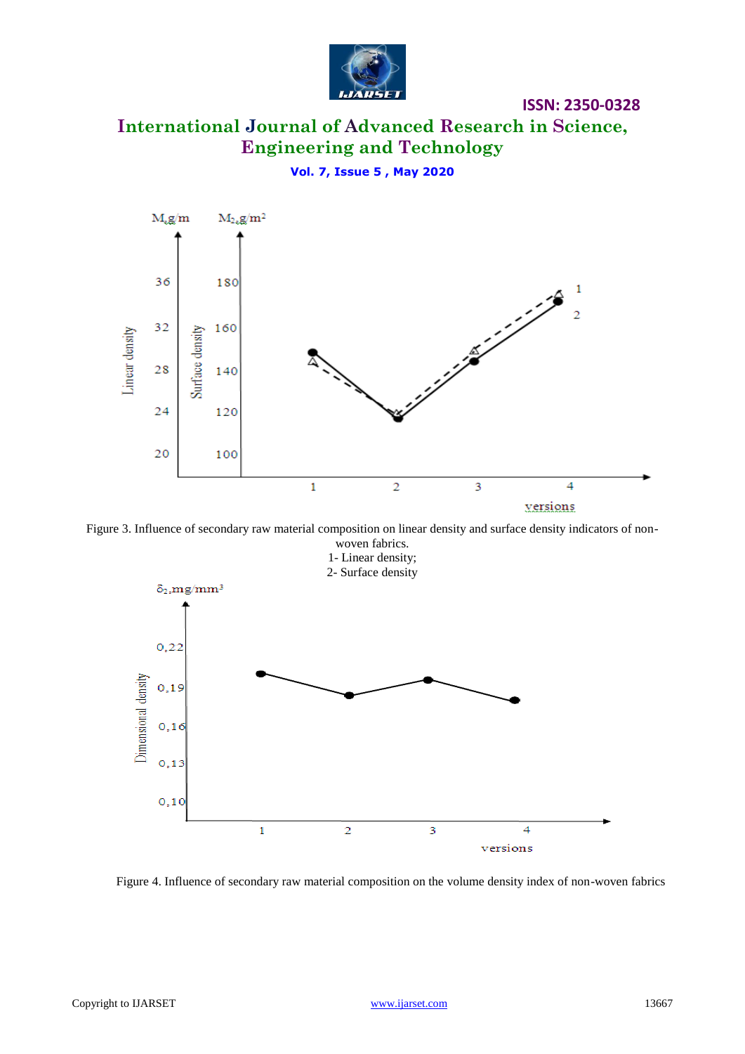

# **International Journal of Advanced Research in Science, Engineering and Technology**

**ISSN: 2350-0328**

**Vol. 7, Issue 5 , May 2020**



Figure 3. Influence of secondary raw material composition on linear density and surface density indicators of non-



Figure 4. Influence of secondary raw material composition on the volume density index of non-woven fabrics